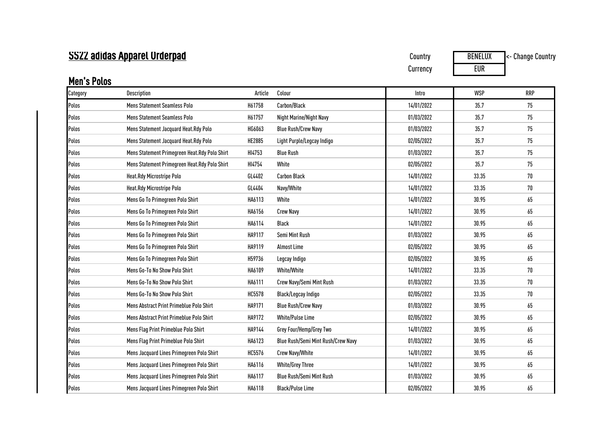## SS22 adidas Apparel Urderpad **Country Country Country BENELUX** <- Change Country Currency **FUR** Category Description Article Colour Intro WSP RRP Polos Mens Statement Seamless Polo H61758 Carbon/Black 14/01/2022 35.7 75 Polos Mens Statement Seamless Polo H61757 Night Marine/Night Navy 01/03/2022 35.7 75 Polos Mens Statement Jacquard Heat.Rdy Polo HG6063 Blue Rush/Crew Navy 01/03/2022 35.7 75 Polos Mens Statement Jacquard Heat.Rdy Polo HE2885 Light Purple/Legcay Indigo 02/05/2022 35.7 75 Polos Mens Statement Primegreen Heat.Rdy Polo Shirt HI4753 Blue Rush 01/03/2022 1 35.7 75 75 Polos Mens Statement Primegreen Heat.Rdy Polo Shirt HI4754 White 1992 March 20105/2022 1 35.7 75 75 Polos Heat.Rdy Microstripe Polo GL4402 Carbon Black 14/01/2022 33.35 70 Polos Heat.Rdy Microstripe Polo GL4404 Navy/White 14/01/2022 33.35 70 Polos Mens Go To Primegreen Polo Shirt HA6113 White 14/01/2022 30.95 65 Polos Mens Go To Primegreen Polo Shirt HA6156 Crew Navy 14/01/2022 30.95 65 Polos Mens Go To Primegreen Polo Shirt HA6114 Black 14/01/2022 30.95 65 Polos Mens Go To Primegreen Polo Shirt HA9117 Semi Mint Rush 01/03/2022 30.95 65 Polos Mens Go To Primegreen Polo Shirt HA9119 Almost Lime 02/05/2022 30.95 65 Polos Mens Go To Primegreen Polo Shirt H59736 Legcay Indigo 02/05/2022 30.95 65 Polos Mens Go-To No Show Polo Shirt HA6109 White/White 14/01/2022 13.35 70 Polos Mens Go-To No Show Polo Shirt HA6111 Crew Navy/Semi Mint Rush 01/03/2022 33.35 70 Polos Mens Go-To No Show Polo Shirt HC5578 Black/Legcay Indigo 1996 102/05/2022 33.35 70 Polos Mens Abstract Print Primeblue Polo Shirt HA9171 Blue Rush/Crew Navy Navy 1988 65 65 65 65 65 66 Polos Mens Abstract Print Primeblue Polo Shirt HA9172 White/Pulse Lime 1998 1998 80.95 65 65 65 65 80.95 65 65 Polos Mens Flag Print Primeblue Polo Shirt HA9144 Grey Four/Hemp/Grey Two 14/01/2022 30.95 65 Polos Mens Flag Print Primeblue Polo Shirt HA6123 Blue Rush/Semi Mint Rush/Crew Navy 1998/2022 1998/03/2022 30.95 65 Polos Mens Jacquard Lines Primegreen Polo Shirt HC5576 Crew Navy/White 1401/2022 1 14/01/2022 1 30.95 65 Polos Mens Jacquard Lines Primegreen Polo Shirt HA6116 White/Grey Three 14/01/2022 1 30.95 65 Polos Mens Jacquard Lines Primegreen Polo Shirt HA6117 Blue Rush/Semi Mint Rush 1998 80.95 65 65 65 65 66 66 66 Polos Mens Jacquard Lines Primegreen Polo Shirt HA6118 Black/Pulse Lime **1998 1998 102/05/2022** 1 30.95 65 Men's Polos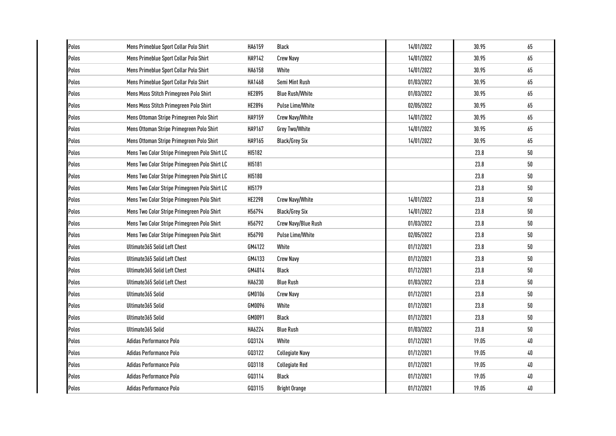| Polos             | Mens Primeblue Sport Collar Polo Shirt         | HA6159        | <b>Black</b>           | 14/01/2022 | 30.95 | 65              |
|-------------------|------------------------------------------------|---------------|------------------------|------------|-------|-----------------|
| Polos             | Mens Primeblue Sport Collar Polo Shirt         | HA9142        | <b>Crew Navy</b>       | 14/01/2022 | 30.95 | 65              |
| Polos             | Mens Primeblue Sport Collar Polo Shirt         | HA6158        | White                  | 14/01/2022 | 30.95 | 65              |
| Polos             | Mens Primeblue Sport Collar Polo Shirt         | HA1468        | Semi Mint Rush         | 01/03/2022 | 30.95 | 65              |
| Polos             | Mens Moss Stitch Primegreen Polo Shirt         | HE2895        | <b>Blue Rush/White</b> | 01/03/2022 | 30.95 | 65              |
| Polos             | Mens Moss Stitch Primegreen Polo Shirt         | HE2896        | Pulse Lime/White       | 02/05/2022 | 30.95 | 65              |
| Polos             | Mens Ottoman Stripe Primegreen Polo Shirt      | HA9159        | Crew Navy/White        | 14/01/2022 | 30.95 | 65              |
| Polos             | Mens Ottoman Stripe Primegreen Polo Shirt      | HA9167        | Grey Two/White         | 14/01/2022 | 30.95 | 65              |
| Polos             | Mens Ottoman Stripe Primegreen Polo Shirt      | HA9165        | <b>Black/Grey Six</b>  | 14/01/2022 | 30.95 | 65              |
| Polos             | Mens Two Color Stripe Primegreen Polo Shirt LC | HI5182        |                        |            | 23.8  | $50\,$          |
| Polos             | Mens Two Color Stripe Primegreen Polo Shirt LC | HI5181        |                        |            | 23.8  | $50\,$          |
| Polos             | Mens Two Color Stripe Primegreen Polo Shirt LC | HI5180        |                        |            | 23.8  | 50              |
| Polos             | Mens Two Color Stripe Primegreen Polo Shirt LC | HI5179        |                        |            | 23.8  | $50\,$          |
| Polos             | Mens Two Color Stripe Primegreen Polo Shirt    | <b>HE2298</b> | Crew Navy/White        | 14/01/2022 | 23.8  | 50              |
| Polos             | Mens Two Color Stripe Primegreen Polo Shirt    | H56794        | <b>Black/Grey Six</b>  | 14/01/2022 | 23.8  | $50\,$          |
| Polos             | Mens Two Color Stripe Primegreen Polo Shirt    | H56792        | Crew Navy/Blue Rush    | 01/03/2022 | 23.8  | 50 <sup>°</sup> |
| Polos             | Mens Two Color Stripe Primegreen Polo Shirt    | H56790        | Pulse Lime/White       | 02/05/2022 | 23.8  | 50              |
| Polos             | Ultimate 365 Solid Left Chest                  | GM4122        | White                  | 01/12/2021 | 23.8  | 50              |
| Polos             | Ultimate365 Solid Left Chest                   | GM4133        | <b>Crew Navy</b>       | 01/12/2021 | 23.8  | 50              |
| Polos             | Ultimate 365 Solid Left Chest                  | GM4014        | <b>Black</b>           | 01/12/2021 | 23.8  | 50              |
| Polos             | Ultimate365 Solid Left Chest                   | HA6230        | <b>Blue Rush</b>       | 01/03/2022 | 23.8  | 50              |
| <sup>o</sup> olos | Ultimate365 Solid                              | GM0106        | <b>Crew Navy</b>       | 01/12/2021 | 23.8  | 50              |
| Polos             | Ultimate365 Solid                              | GM0096        | White                  | 01/12/2021 | 23.8  | 50              |
| <sup>o</sup> olos | Ultimate365 Solid                              | GM0091        | <b>Black</b>           | 01/12/2021 | 23.8  | 50              |
| <sup>o</sup> olos | Ultimate365 Solid                              | HA6224        | <b>Blue Rush</b>       | 01/03/2022 | 23.8  | 50              |
| <sup>o</sup> los  | Adidas Performance Polo                        | GQ3124        | White                  | 01/12/2021 | 19.05 | 40              |
| Polos             | <b>Adidas Performance Polo</b>                 | GQ3122        | <b>Collegiate Navy</b> | 01/12/2021 | 19.05 | 40              |
| <sup>o</sup> los  | <b>Adidas Performance Polo</b>                 | GQ3118        | <b>Collegiate Red</b>  | 01/12/2021 | 19.05 | 40              |
| <sup>o</sup> olos | <b>Adidas Performance Polo</b>                 | GQ3114        | Black                  | 01/12/2021 | 19.05 | 40              |
| <sup>2</sup> olos | <b>Adidas Performance Polo</b>                 | GQ3115        | <b>Bright Orange</b>   | 01/12/2021 | 19.05 | 40              |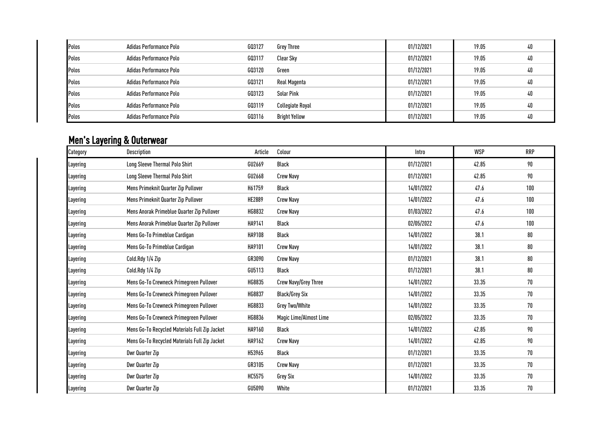| <b>Polos</b> | Adidas Performance Polo | GQ3127 | Grey Three              | 01/12/2021 | 19.05 | 40 |
|--------------|-------------------------|--------|-------------------------|------------|-------|----|
| Polos        | Adidas Performance Polo | GQ3117 | Clear Sky               | 01/12/2021 | 19.05 | 40 |
| Polos        | Adidas Performance Polo | GQ3120 | Green                   | 01/12/2021 | 19.05 | 40 |
| Polos        | Adidas Performance Polo | GQ3121 | Real Magenta            | 01/12/2021 | 19.05 | 40 |
| Polos        | Adidas Performance Polo | G03123 | Solar Pink              | 01/12/2021 | 19.05 | 40 |
| Polos        | Adidas Performance Polo | GQ3119 | <b>Collegiate Royal</b> | 01/12/2021 | 19.05 | 40 |
| Polos        | Adidas Performance Polo | GQ3116 | <b>Bright Yellow</b>    | 01/12/2021 | 19.05 | 40 |

## Men's Layering & Outerwear

| Category | Description                                   | Article       | Colour                 | Intro      | <b>WSP</b> | <b>RRP</b> |
|----------|-----------------------------------------------|---------------|------------------------|------------|------------|------------|
| Layering | Long Sleeve Thermal Polo Shirt                | GU2669        | <b>Black</b>           | 01/12/2021 | 42.85      | 90         |
| Layering | Long Sleeve Thermal Polo Shirt                | GU2668        | <b>Crew Navy</b>       | 01/12/2021 | 42.85      | 90         |
| Layering | Mens Primeknit Quarter Zip Pullover           | H61759        | Black                  | 14/01/2022 | 47.6       | 100        |
| Layering | Mens Primeknit Quarter Zip Pullover           | <b>HE2889</b> | <b>Crew Navy</b>       | 14/01/2022 | 47.6       | 100        |
| Layering | Mens Anorak Primeblue Quarter Zip Pullover    | HG8832        | <b>Crew Navy</b>       | 01/03/2022 | 47.6       | 100        |
| Layering | Mens Anorak Primeblue Quarter Zip Pullover    | HA9141        | <b>Black</b>           | 02/05/2022 | 47.6       | 100        |
| Layering | Mens Go-To Primeblue Cardigan                 | HA9108        | <b>Black</b>           | 14/01/2022 | 38.1       | 80         |
| Layering | Mens Go-To Primeblue Cardigan                 | HA9101        | <b>Crew Navy</b>       | 14/01/2022 | 38.1       | 80         |
| Layering | Cold.Rdy 1/4 Zip                              | GR3090        | <b>Crew Navy</b>       | 01/12/2021 | 38.1       | 80         |
| Layering | Cold.Rdy 1/4 Zip                              | GU5113        | Black                  | 01/12/2021 | 38.1       | 80         |
| Layering | Mens Go-To Crewneck Primegreen Pullover       | HG8835        | Crew Navy/Grey Three   | 14/01/2022 | 33.35      | 70         |
| Layering | Mens Go-To Crewneck Primegreen Pullover       | HG8837        | Black/Grey Six         | 14/01/2022 | 33.35      | 70         |
| Layering | Mens Go-To Crewneck Primegreen Pullover       | HG8833        | Grey Two/White         | 14/01/2022 | 33.35      | 70         |
| Layering | Mens Go-To Crewneck Primegreen Pullover       | HG8836        | Magic Lime/Almost Lime | 02/05/2022 | 33.35      | 70         |
| Layering | Mens Go-To Recycled Materials Full Zip Jacket | HA9160        | Black                  | 14/01/2022 | 42.85      | 90         |
| Layering | Mens Go-To Recycled Materials Full Zip Jacket | HA9162        | <b>Crew Navy</b>       | 14/01/2022 | 42.85      | 90         |
| Layering | Dwr Quarter Zip                               | H53965        | <b>Black</b>           | 01/12/2021 | 33.35      | 70         |
| Layering | Dwr Quarter Zip                               | GR3105        | <b>Crew Navy</b>       | 01/12/2021 | 33.35      | 70         |
| Layering | Dwr Quarter Zip                               | HC5575        | Grey Six               | 14/01/2022 | 33.35      | 70         |
| Layering | Dwr Quarter Zip                               | GU5090        | White                  | 01/12/2021 | 33.35      | 70         |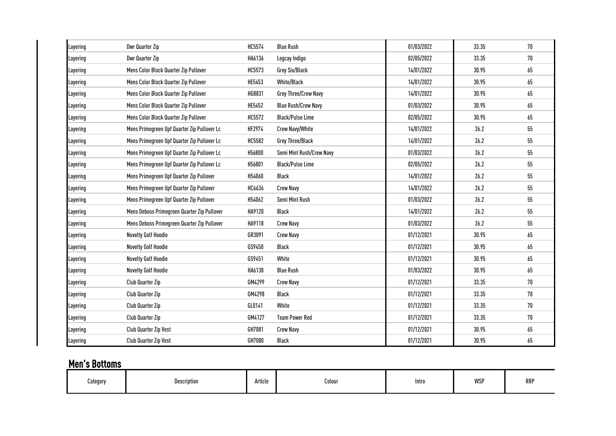| Layering | Dwr Quarter Zip                             | HC5574 | <b>Blue Rush</b>           | 01/03/2022 | 33.35 | 70     |
|----------|---------------------------------------------|--------|----------------------------|------------|-------|--------|
| Layering | Dwr Quarter Zip                             | HA6136 | Legcay Indigo              | 02/05/2022 | 33.35 | $70\,$ |
| Layering | Mens Color Block Quarter Zip Pullover       | HC5573 | Grey Six/Black             | 14/01/2022 | 30.95 | 65     |
| Layering | Mens Color Block Quarter Zip Pullover       | HE5453 | <b>White/Black</b>         | 14/01/2022 | 30.95 | 65     |
| Layering | Mens Color Block Quarter Zip Pullover       | HG8831 | Grey Three/Crew Navy       | 14/01/2022 | 30.95 | 65     |
| Layering | Mens Color Block Quarter Zip Pullover       | HE5452 | <b>Blue Rush/Crew Navy</b> | 01/03/2022 | 30.95 | 65     |
| Layering | Mens Color Block Quarter Zip Pullover       | HC5572 | <b>Black/Pulse Lime</b>    | 02/05/2022 | 30.95 | 65     |
| Layering | Mens Primegreen Upf Quarter Zip Pullover Lc | HF2974 | Crew Navy/White            | 14/01/2022 | 26.2  | 55     |
| Layering | Mens Primegreen Upf Quarter Zip Pullover Lc | HC5582 | Grey Three/Black           | 14/01/2022 | 26.2  | 55     |
| Layering | Mens Primegreen Upf Quarter Zip Pullover Lc | H56800 | Semi Mint Rush/Crew Navy   | 01/03/2022 | 26.2  | 55     |
| Layering | Mens Primegreen Upf Quarter Zip Pullover Lc | H56801 | <b>Black/Pulse Lime</b>    | 02/05/2022 | 26.2  | 55     |
| Layering | Mens Primegreen Upf Quarter Zip Pullover    | H54060 | <b>Black</b>               | 14/01/2022 | 26.2  | 55     |
| Layering | Mens Primegreen Upf Quarter Zip Pullover    | HC6636 | <b>Crew Navy</b>           | 14/01/2022 | 26.2  | 55     |
| Layering | Mens Primegreen Upf Quarter Zip Pullover    | H54062 | Semi Mint Rush             | 01/03/2022 | 26.2  | 55     |
| Layering | Mens Deboss Primegreen Quarter Zip Pullover | HA9120 | <b>Black</b>               | 14/01/2022 | 26.2  | 55     |
| Layering | Mens Deboss Primegreen Quarter Zip Pullover | HA9118 | <b>Crew Navy</b>           | 01/03/2022 | 26.2  | 55     |
| Layering | Novelty Golf Hoodie                         | GR3091 | <b>Crew Navy</b>           | 01/12/2021 | 30.95 | 65     |
| Layering | <b>Novelty Golf Hoodie</b>                  | GS9450 | <b>Black</b>               | 01/12/2021 | 30.95 | 65     |
| Layering | Novelty Golf Hoodie                         | GS9451 | White                      | 01/12/2021 | 30.95 | 65     |
| Layering | Novelty Golf Hoodie                         | HA6138 | <b>Blue Rush</b>           | 01/03/2022 | 30.95 | 65     |
| Layering | Club Quarter Zip                            | GM4299 | <b>Crew Navy</b>           | 01/12/2021 | 33.35 | 70     |
| Layering | Club Quarter Zip                            | GM4298 | Black                      | 01/12/2021 | 33.35 | 70     |
| Layering | <b>Club Quarter Zip</b>                     | GL0141 | White                      | 01/12/2021 | 33.35 | 70     |
| Layering | Club Quarter Zip                            | GM4127 | <b>Team Power Red</b>      | 01/12/2021 | 33.35 | 70     |
| Layering | Club Quarter Zip Vest                       | GH7081 | <b>Crew Navy</b>           | 01/12/2021 | 30.95 | 65     |
| Layering | Club Quarter Zip Vest                       | GH7080 | <b>Black</b>               | 01/12/2021 | 30.95 | 65     |

## Men's Bottoms

| Category | Description | Article | Colour | Intro | <b>WSP</b> | <b>RRP</b> |
|----------|-------------|---------|--------|-------|------------|------------|
|----------|-------------|---------|--------|-------|------------|------------|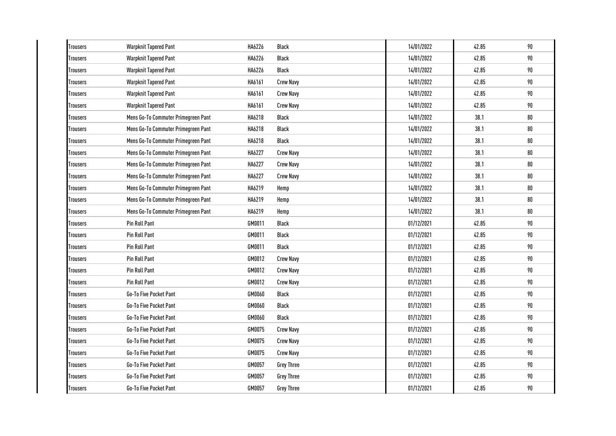| Trousers | <b>Warpknit Tapered Pant</b>        | HA6226 | <b>Black</b>      | 14/01/2022 | 42.85 | 90 |
|----------|-------------------------------------|--------|-------------------|------------|-------|----|
| Trousers | <b>Warpknit Tapered Pant</b>        | HA6226 | <b>Black</b>      | 14/01/2022 | 42.85 | 90 |
| Trousers | <b>Warpknit Tapered Pant</b>        | HA6226 | <b>Black</b>      | 14/01/2022 | 42.85 | 90 |
| Trousers | <b>Warpknit Tapered Pant</b>        | HA6161 | <b>Crew Navy</b>  | 14/01/2022 | 42.85 | 90 |
| Trousers | <b>Warpknit Tapered Pant</b>        | HA6161 | <b>Crew Navy</b>  | 14/01/2022 | 42.85 | 90 |
| Trousers | <b>Warpknit Tapered Pant</b>        | HA6161 | <b>Crew Navy</b>  | 14/01/2022 | 42.85 | 90 |
| Trousers | Mens Go-To Commuter Primegreen Pant | HA6218 | <b>Black</b>      | 14/01/2022 | 38.1  | 80 |
| Trousers | Mens Go-To Commuter Primegreen Pant | HA6218 | Black             | 14/01/2022 | 38.1  | 80 |
| Trousers | Mens Go-To Commuter Primegreen Pant | HA6218 | <b>Black</b>      | 14/01/2022 | 38.1  | 80 |
| Trousers | Mens Go-To Commuter Primegreen Pant | HA6227 | <b>Crew Navy</b>  | 14/01/2022 | 38.1  | 80 |
| Trousers | Mens Go-To Commuter Primegreen Pant | HA6227 | <b>Crew Navy</b>  | 14/01/2022 | 38.1  | 80 |
| Trousers | Mens Go-To Commuter Primegreen Pant | HA6227 | <b>Crew Navy</b>  | 14/01/2022 | 38.1  | 80 |
| Trousers | Mens Go-To Commuter Primegreen Pant | HA6219 | Hemp              | 14/01/2022 | 38.1  | 80 |
| Trousers | Mens Go-To Commuter Primegreen Pant | HA6219 | Hemp              | 14/01/2022 | 38.1  | 80 |
| Trousers | Mens Go-To Commuter Primegreen Pant | HA6219 | Hemp              | 14/01/2022 | 38.1  | 80 |
| Trousers | Pin Roll Pant                       | GM0011 | Black             | 01/12/2021 | 42.85 | 90 |
| Trousers | Pin Roll Pant                       | GM0011 | Black             | 01/12/2021 | 42.85 | 90 |
| Trousers | Pin Roll Pant                       | GM0011 | <b>Black</b>      | 01/12/2021 | 42.85 | 90 |
| Trousers | Pin Roll Pant                       | GM0012 | <b>Crew Navy</b>  | 01/12/2021 | 42.85 | 90 |
| Trousers | Pin Roll Pant                       | GM0012 | <b>Crew Navy</b>  | 01/12/2021 | 42.85 | 90 |
| Trousers | Pin Roll Pant                       | GM0012 | <b>Crew Navy</b>  | 01/12/2021 | 42.85 | 90 |
| Trousers | Go-To Five Pocket Pant              | GM0060 | <b>Black</b>      | 01/12/2021 | 42.85 | 90 |
| Trousers | Go-To Five Pocket Pant              | GM0060 | <b>Black</b>      | 01/12/2021 | 42.85 | 90 |
| Trousers | Go-To Five Pocket Pant              | GM0060 | <b>Black</b>      | 01/12/2021 | 42.85 | 90 |
| Trousers | Go-To Five Pocket Pant              | GM0075 | <b>Crew Navy</b>  | 01/12/2021 | 42.85 | 90 |
| Trousers | Go-To Five Pocket Pant              | GM0075 | <b>Crew Navy</b>  | 01/12/2021 | 42.85 | 90 |
| Trousers | Go-To Five Pocket Pant              | GM0075 | <b>Crew Navy</b>  | 01/12/2021 | 42.85 | 90 |
| Trousers | Go-To Five Pocket Pant              | GM0057 | <b>Grey Three</b> | 01/12/2021 | 42.85 | 90 |
| Trousers | Go-To Five Pocket Pant              | GM0057 | <b>Grey Three</b> | 01/12/2021 | 42.85 | 90 |
| Trousers | Go-To Five Pocket Pant              | GM0057 | <b>Grey Three</b> | 01/12/2021 | 42.85 | 90 |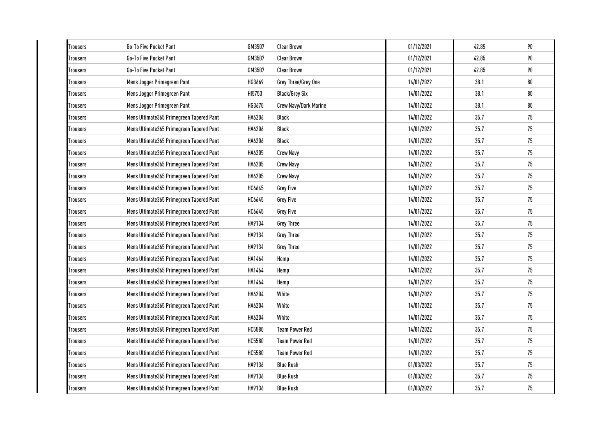| Trousers       | <b>Go-To Five Pocket Pant</b>            | GM3507        | <b>Clear Brown</b>    | 01/12/2021 | 42.85 | 90 |
|----------------|------------------------------------------|---------------|-----------------------|------------|-------|----|
| Trousers       | Go-To Five Pocket Pant                   | GM3507        | <b>Clear Brown</b>    | 01/12/2021 | 42.85 | 90 |
| Trousers       | Go-To Five Pocket Pant                   | GM3507        | <b>Clear Brown</b>    | 01/12/2021 | 42.85 | 90 |
| Trousers       | Mens Jogger Primegreen Pant              | HG3669        | Grey Three/Grey One   | 14/01/2022 | 38.1  | 80 |
| Trousers       | Mens Jogger Primegreen Pant              | HI5753        | <b>Black/Grey Six</b> | 14/01/2022 | 38.1  | 80 |
| Trousers       | Mens Jogger Primegreen Pant              | HG3670        | Crew Navy/Dark Marine | 14/01/2022 | 38.1  | 80 |
| Trousers       | Mens Ultimate365 Primegreen Tapered Pant | HA6206        | Black                 | 14/01/2022 | 35.7  | 75 |
| Trousers       | Mens Ultimate365 Primegreen Tapered Pant | HA6206        | <b>Black</b>          | 14/01/2022 | 35.7  | 75 |
| Trousers       | Mens Ultimate365 Primegreen Tapered Pant | HA6206        | <b>Black</b>          | 14/01/2022 | 35.7  | 75 |
| Trousers       | Mens Ultimate365 Primegreen Tapered Pant | HA6205        | <b>Crew Navy</b>      | 14/01/2022 | 35.7  | 75 |
| Trousers       | Mens Ultimate365 Primegreen Tapered Pant | HA6205        | <b>Crew Navy</b>      | 14/01/2022 | 35.7  | 75 |
| Trousers       | Mens Ultimate365 Primegreen Tapered Pant | HA6205        | <b>Crew Navy</b>      | 14/01/2022 | 35.7  | 75 |
| Trousers       | Mens Ultimate365 Primegreen Tapered Pant | HC6645        | Grey Five             | 14/01/2022 | 35.7  | 75 |
| Trousers       | Mens Ultimate365 Primegreen Tapered Pant | HC6645        | Grey Five             | 14/01/2022 | 35.7  | 75 |
| Trousers       | Mens Ultimate365 Primegreen Tapered Pant | HC6645        | Grey Five             | 14/01/2022 | 35.7  | 75 |
| Trousers       | Mens Ultimate365 Primegreen Tapered Pant | HA9134        | <b>Grey Three</b>     | 14/01/2022 | 35.7  | 75 |
| Trousers       | Mens Ultimate365 Primegreen Tapered Pant | HA9134        | <b>Grey Three</b>     | 14/01/2022 | 35.7  | 75 |
| Trousers       | Mens Ultimate365 Primegreen Tapered Pant | HA9134        | <b>Grey Three</b>     | 14/01/2022 | 35.7  | 75 |
| Trousers       | Mens Ultimate365 Primegreen Tapered Pant | HA1464        | Hemp                  | 14/01/2022 | 35.7  | 75 |
| Trousers       | Mens Ultimate365 Primegreen Tapered Pant | HA1464        | Hemp                  | 14/01/2022 | 35.7  | 75 |
| Trousers       | Mens Ultimate365 Primegreen Tapered Pant | HA1464        | Hemp                  | 14/01/2022 | 35.7  | 75 |
| Trousers       | Mens Ultimate365 Primegreen Tapered Pant | HA6204        | White                 | 14/01/2022 | 35.7  | 75 |
| Trousers       | Mens Ultimate365 Primegreen Tapered Pant | HA6204        | White                 | 14/01/2022 | 35.7  | 75 |
| Trousers       | Mens Ultimate365 Primegreen Tapered Pant | HA6204        | White                 | 14/01/2022 | 35.7  | 75 |
| Trousers       | Mens Ultimate365 Primegreen Tapered Pant | <b>HC5580</b> | <b>Team Power Red</b> | 14/01/2022 | 35.7  | 75 |
| Trousers       | Mens Ultimate365 Primegreen Tapered Pant | <b>HC5580</b> | <b>Team Power Red</b> | 14/01/2022 | 35.7  | 75 |
| <b>rousers</b> | Mens Ultimate365 Primegreen Tapered Pant | HC5580        | <b>Team Power Red</b> | 14/01/2022 | 35.7  | 75 |
| Trousers       | Mens Ultimate365 Primegreen Tapered Pant | HA9136        | <b>Blue Rush</b>      | 01/03/2022 | 35.7  | 75 |
| <b>rousers</b> | Mens Ultimate365 Primegreen Tapered Pant | HA9136        | <b>Blue Rush</b>      | 01/03/2022 | 35.7  | 75 |
| Trousers       | Mens Ultimate365 Primegreen Tapered Pant | HA9136        | <b>Blue Rush</b>      | 01/03/2022 | 35.7  | 75 |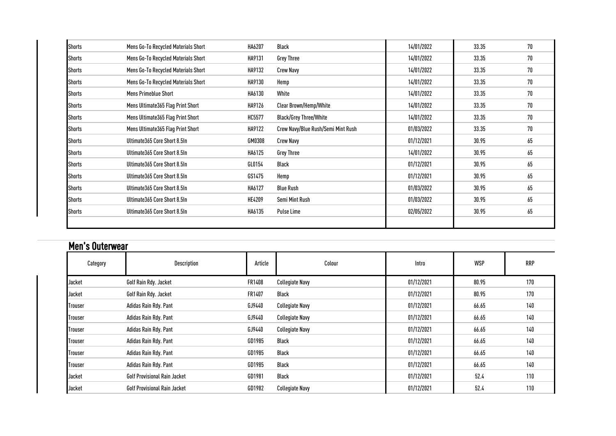| Shorts | Mens Go-To Recycled Materials Short | HA6207        | Black                              | 14/01/2022 | 33.35 | 70 |
|--------|-------------------------------------|---------------|------------------------------------|------------|-------|----|
| Shorts | Mens Go-To Recycled Materials Short | HA9131        | <b>Grey Three</b>                  | 14/01/2022 | 33.35 | 70 |
| Shorts | Mens Go-To Recycled Materials Short | HA9132        | <b>Crew Navy</b>                   | 14/01/2022 | 33.35 | 70 |
| Shorts | Mens Go-To Recycled Materials Short | HA9130        | Hemp                               | 14/01/2022 | 33.35 | 70 |
| Shorts | <b>Mens Primeblue Short</b>         | HA6130        | White                              | 14/01/2022 | 33.35 | 70 |
| Shorts | Mens Ultimate365 Flag Print Short   | HA9126        | Clear Brown/Hemp/White             | 14/01/2022 | 33.35 | 70 |
| Shorts | Mens Ultimate 365 Flag Print Short  | HC5577        | Black/Grey Three/White             | 14/01/2022 | 33.35 | 70 |
| Shorts | Mens Ultimate 365 Flag Print Short  | HA9122        | Crew Navy/Blue Rush/Semi Mint Rush | 01/03/2022 | 33.35 | 70 |
| Shorts | Ultimate 365 Core Short 8.5In       | GM0308        | Crew Navy                          | 01/12/2021 | 30.95 | 65 |
| Shorts | Ultimate365 Core Short 8.5In        | HA6125        | Grey Three                         | 14/01/2022 | 30.95 | 65 |
| Shorts | Ultimate365 Core Short 8.5In        | GL0154        | <b>Black</b>                       | 01/12/2021 | 30.95 | 65 |
| Shorts | Ultimate 365 Core Short 8.5In       | GS1475        | Hemp                               | 01/12/2021 | 30.95 | 65 |
| Shorts | Ultimate365 Core Short 8.5In        | HA6127        | <b>Blue Rush</b>                   | 01/03/2022 | 30.95 | 65 |
| Shorts | Ultimate 365 Core Short 8.5In       | <b>HE4209</b> | Semi Mint Rush                     | 01/03/2022 | 30.95 | 65 |
| Shorts | Ultimate365 Core Short 8.5In        | HA6135        | Pulse Lime                         | 02/05/2022 | 30.95 | 65 |
|        |                                     |               |                                    |            |       |    |

|          | <b>Men's Outerwear</b>              |         |                        |            |            |            |  |  |  |
|----------|-------------------------------------|---------|------------------------|------------|------------|------------|--|--|--|
| Category | Description                         | Article | Colour                 | Intro      | <b>WSP</b> | <b>RRP</b> |  |  |  |
| Jacket   | Golf Rain Rdy. Jacket               | FR1408  | <b>Collegiate Navy</b> | 01/12/2021 | 80.95      | 170        |  |  |  |
| Jacket   | Golf Rain Rdy. Jacket               | FR1407  | Black                  | 01/12/2021 | 80.95      | 170        |  |  |  |
| Trouser  | Adidas Rain Rdy. Pant               | GJ9440  | <b>Collegiate Navy</b> | 01/12/2021 | 66.65      | 140        |  |  |  |
| Trouser  | Adidas Rain Rdy. Pant               | GJ9440  | <b>Collegiate Navy</b> | 01/12/2021 | 66.65      | 140        |  |  |  |
| Trouser  | Adidas Rain Rdy. Pant               | GJ9440  | <b>Collegiate Navy</b> | 01/12/2021 | 66.65      | 140        |  |  |  |
| Trouser  | Adidas Rain Rdy. Pant               | GD1985  | Black                  | 01/12/2021 | 66.65      | 140        |  |  |  |
| Trouser  | Adidas Rain Rdy. Pant               | GD1985  | Black                  | 01/12/2021 | 66.65      | 140        |  |  |  |
| Trouser  | Adidas Rain Rdy. Pant               | GD1985  | Black                  | 01/12/2021 | 66.65      | 140        |  |  |  |
| Jacket   | <b>Golf Provisional Rain Jacket</b> | GD1981  | Black                  | 01/12/2021 | 52.4       | 110        |  |  |  |
| Jacket   | <b>Golf Provisional Rain Jacket</b> | GD1982  | <b>Collegiate Navy</b> | 01/12/2021 | 52.4       | 110        |  |  |  |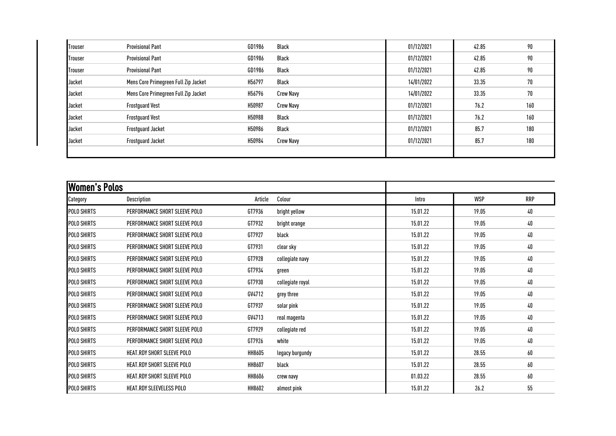| <b>Trouser</b> | <b>Provisional Pant</b>              | GD1986 | Black            | 01/12/2021 | 42.85 | 90  |
|----------------|--------------------------------------|--------|------------------|------------|-------|-----|
| Trouser        | <b>Provisional Pant</b>              | GD1986 | Black            | 01/12/2021 | 42.85 | 90  |
| Trouser        | <b>Provisional Pant</b>              | GD1986 | Black            | 01/12/2021 | 42.85 | 90  |
| Jacket         | Mens Core Primegreen Full Zip Jacket | H56797 | Black            | 14/01/2022 | 33.35 | 70  |
| Jacket         | Mens Core Primegreen Full Zip Jacket | H56796 | Crew Navy        | 14/01/2022 | 33.35 | 70  |
| Jacket         | <b>Frostguard Vest</b>               | H50987 | <b>Crew Navy</b> | 01/12/2021 | 76.2  | 160 |
| Jacket         | <b>Frostguard Vest</b>               | H50988 | Black            | 01/12/2021 | 76.2  | 160 |
| Jacket         | Frostguard Jacket                    | H50986 | Black            | 01/12/2021 | 85.7  | 180 |
| Jacket         | <b>Frostguard Jacket</b>             | H50984 | <b>Crew Navy</b> | 01/12/2021 | 85.7  | 180 |
|                |                                      |        |                  |            |       |     |

| Women's Polos      |                                 |         |                  |          |            |            |
|--------------------|---------------------------------|---------|------------------|----------|------------|------------|
| Category           | Description                     | Article | Colour           | Intro    | <b>WSP</b> | <b>RRP</b> |
| POLO SHIRTS        | PERFORMANCE SHORT SLEEVE POLO   | GT7936  | bright yellow    | 15.01.22 | 19.05      | 40         |
| POLO SHIRTS        | PERFORMANCE SHORT SLEEVE POLO   | GT7932  | bright orange    | 15.01.22 | 19.05      | 40         |
| <b>POLO SHIRTS</b> | PERFORMANCE SHORT SLEEVE POLO   | GT7927  | black            | 15.01.22 | 19.05      | 40         |
| <b>POLO SHIRTS</b> | PERFORMANCE SHORT SLEEVE POLO   | GT7931  | clear sky        | 15.01.22 | 19.05      | 40         |
| POLO SHIRTS        | PERFORMANCE SHORT SLEEVE POLO   | GT7928  | collegiate navy  | 15.01.22 | 19.05      | 40         |
| POLO SHIRTS        | PERFORMANCE SHORT SLEEVE POLO   | GT7934  | green            | 15.01.22 | 19.05      | 40         |
| POLO SHIRTS        | PERFORMANCE SHORT SLEEVE POLO   | GT7930  | collegiate royal | 15.01.22 | 19.05      | 40         |
| POLO SHIRTS        | PERFORMANCE SHORT SLEEVE POLO   | GV4712  | grey three       | 15.01.22 | 19.05      | 40         |
| POLO SHIRTS        | PERFORMANCE SHORT SLEEVE POLO   | GT7937  | solar pink       | 15.01.22 | 19.05      | 40         |
| POLO SHIRTS        | PERFORMANCE SHORT SLEEVE POLO   | GV4713  | real magenta     | 15.01.22 | 19.05      | 40         |
| POLO SHIRTS        | PERFORMANCE SHORT SLEEVE POLO   | GT7929  | collegiate red   | 15.01.22 | 19.05      | 40         |
| POLO SHIRTS        | PERFORMANCE SHORT SLEEVE POLO   | GT7926  | white            | 15.01.22 | 19.05      | 40         |
| <b>POLO SHIRTS</b> | HEAT.RDY SHORT SLEEVE POLO      | HH8605  | legacy burgundy  | 15.01.22 | 28.55      | 60         |
| POLO SHIRTS        | HEAT.RDY SHORT SLEEVE POLO      | HH8607  | black            | 15.01.22 | 28.55      | 60         |
| <b>POLO SHIRTS</b> | HEAT.RDY SHORT SLEEVE POLO      | HH8606  | crew navy        | 01.03.22 | 28.55      | 60         |
| <b>POLO SHIRTS</b> | <b>HEAT.RDY SLEEVELESS POLO</b> | HH8602  | almost pink      | 15.01.22 | 26.2       | 55         |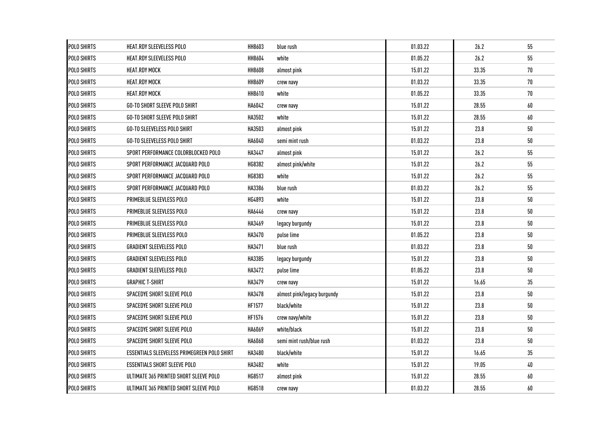| <b>POLO SHIRTS</b> | <b>HEAT.RDY SLEEVELESS POLO</b>             | HH8603        | blue rush                   | 01.03.22 | 26.2  | 55     |
|--------------------|---------------------------------------------|---------------|-----------------------------|----------|-------|--------|
| <b>POLO SHIRTS</b> | <b>HEAT.RDY SLEEVELESS POLO</b>             | HH8604        | white                       | 01.05.22 | 26.2  | 55     |
| <b>POLO SHIRTS</b> | HEAT.RDY MOCK                               | <b>HH8608</b> | almost pink                 | 15.01.22 | 33.35 | 70     |
| POLO SHIRTS        | HEAT.RDY MOCK                               | HH8609        | crew navy                   | 01.03.22 | 33.35 | 70     |
| POLO SHIRTS        | HEAT.RDY MOCK                               | HH8610        | white                       | 01.05.22 | 33.35 | 70     |
| POLO SHIRTS        | <b>GO-TO SHORT SLEEVE POLO SHIRT</b>        | HA6042        | crew navy                   | 15.01.22 | 28.55 | 60     |
| <b>POLO SHIRTS</b> | <b>GO-TO SHORT SLEEVE POLO SHIRT</b>        | HA3502        | white                       | 15.01.22 | 28.55 | 60     |
| <b>POLO SHIRTS</b> | <b>GO-TO SLEEVELESS POLO SHIRT</b>          | HA3503        | almost pink                 | 15.01.22 | 23.8  | 50     |
| <b>POLO SHIRTS</b> | <b>GO-TO SLEEVELESS POLO SHIRT</b>          | HA6040        | semi mint rush              | 01.03.22 | 23.8  | 50     |
| <b>POLO SHIRTS</b> | SPORT PERFORMANCE COLORBLOCKED POLO         | HA3447        | almost pink                 | 15.01.22 | 26.2  | 55     |
| <b>POLO SHIRTS</b> | SPORT PERFORMANCE JACQUARD POLO             | HG8382        | almost pink/white           | 15.01.22 | 26.2  | 55     |
| POLO SHIRTS        | SPORT PERFORMANCE JACQUARD POLO             | HG8383        | white                       | 15.01.22 | 26.2  | 55     |
| POLO SHIRTS        | SPORT PERFORMANCE JACQUARD POLO             | HA3386        | blue rush                   | 01.03.22 | 26.2  | 55     |
| POLO SHIRTS        | PRIMEBLUE SLEEVLESS POLO                    | HG4893        | white                       | 15.01.22 | 23.8  | $50\,$ |
| POLO SHIRTS        | PRIMEBLUE SLEEVLESS POLO                    | HA6446        | crew navy                   | 15.01.22 | 23.8  | 50     |
| POLO SHIRTS        | PRIMEBLUE SLEEVLESS POLO                    | HA3469        | legacy burgundy             | 15.01.22 | 23.8  | $50\,$ |
| POLO SHIRTS        | PRIMEBLUE SLEEVLESS POLO                    | HA3470        | pulse lime                  | 01.05.22 | 23.8  | $50\,$ |
| POLO SHIRTS        | <b>GRADIENT SLEEVELESS POLO</b>             | HA3471        | blue rush                   | 01.03.22 | 23.8  | 50     |
| POLO SHIRTS        | <b>GRADIENT SLEEVELESS POLO</b>             | HA3385        | legacy burgundy             | 15.01.22 | 23.8  | $50\,$ |
| POLO SHIRTS        | <b>GRADIENT SLEEVELESS POLO</b>             | HA3472        | pulse lime                  | 01.05.22 | 23.8  | $50\,$ |
| POLO SHIRTS        | <b>GRAPHIC T-SHIRT</b>                      | HA3479        | crew navy                   | 15.01.22 | 16.65 | 35     |
| POLO SHIRTS        | SPACEDYE SHORT SLEEVE POLO                  | HA3478        | almost pink/legacy burgundy | 15.01.22 | 23.8  | $50\,$ |
| <b>POLO SHIRTS</b> | SPACEDYE SHORT SLEEVE POLO                  | HF1577        | black/white                 | 15.01.22 | 23.8  | $50\,$ |
| POLO SHIRTS        | SPACEDYE SHORT SLEEVE POLO                  | HF1576        | crew navy/white             | 15.01.22 | 23.8  | 50     |
| POLO SHIRTS        | SPACEDYE SHORT SLEEVE POLO                  | HA6069        | white/black                 | 15.01.22 | 23.8  | $50\,$ |
| POLO SHIRTS        | SPACEDYE SHORT SLEEVE POLO                  | HA6068        | semi mint rush/blue rush    | 01.03.22 | 23.8  | $50\,$ |
| <b>POLO SHIRTS</b> | ESSENTIALS SLEEVELESS PRIMEGREEN POLO SHIRT | HA3480        | black/white                 | 15.01.22 | 16.65 | 35     |
| POLO SHIRTS        | <b>ESSENTIALS SHORT SLEEVE POLO</b>         | HA3482        | white                       | 15.01.22 | 19.05 | $40\,$ |
| <b>POLO SHIRTS</b> | ULTIMATE 365 PRINTED SHORT SLEEVE POLO      | HG8517        | almost pink                 | 15.01.22 | 28.55 | 60     |
| POLO SHIRTS        | ULTIMATE 365 PRINTED SHORT SLEEVE POLO      | HG8518        | crew navy                   | 01.03.22 | 28.55 | 60     |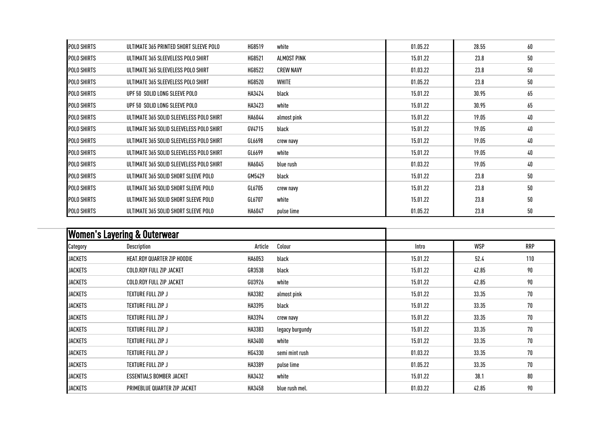| <b>POLO SHIRTS</b> | ULTIMATE 365 PRINTED SHORT SLEEVE POLO   | HG8519 | white            | 01.05.22 | 28.55 | 60 |
|--------------------|------------------------------------------|--------|------------------|----------|-------|----|
| <b>POLO SHIRTS</b> | ULTIMATE 365 SLEEVELESS POLO SHIRT       | HG8521 | ALMOST PINK      | 15.01.22 | 23.8  | 50 |
| <b>POLO SHIRTS</b> | ULTIMATE 365 SLEEVELESS POLO SHIRT       | HG8522 | <b>CREW NAVY</b> | 01.03.22 | 23.8  | 50 |
| <b>POLO SHIRTS</b> | ULTIMATE 365 SLEEVELESS POLO SHIRT       | HG8520 | WHITE            | 01.05.22 | 23.8  | 50 |
| POLO SHIRTS        | UPF 50 SOLID LONG SLEEVE POLO            | HA3424 | black            | 15.01.22 | 30.95 | 65 |
| <b>POLO SHIRTS</b> | UPF 50 SOLID LONG SLEEVE POLO            | HA3423 | white            | 15.01.22 | 30.95 | 65 |
| <b>POLO SHIRTS</b> | ULTIMATE 365 SOLID SLEEVELESS POLO SHIRT | HA6044 | almost pink      | 15.01.22 | 19.05 | 40 |
| <b>POLO SHIRTS</b> | ULTIMATE 365 SOLID SLEEVELESS POLO SHIRT | GV4715 | black            | 15.01.22 | 19.05 | 40 |
| <b>POLO SHIRTS</b> | ULTIMATE 365 SOLID SLEEVELESS POLO SHIRT | GL6698 | crew navy        | 15.01.22 | 19.05 | 40 |
| POLO SHIRTS        | ULTIMATE 365 SOLID SLEEVELESS POLO SHIRT | GL6699 | white            | 15.01.22 | 19.05 | 40 |
| <b>POLO SHIRTS</b> | ULTIMATE 365 SOLID SLEEVELESS POLO SHIRT | HA6045 | blue rush        | 01.03.22 | 19.05 | 40 |
| <b>POLO SHIRTS</b> | ULTIMATE 365 SOLID SHORT SLEEVE POLO     | GM5429 | black            | 15.01.22 | 23.8  | 50 |
| <b>POLO SHIRTS</b> | ULTIMATE 365 SOLID SHORT SLEEVE POLO     | GL6705 | crew navy        | 15.01.22 | 23.8  | 50 |
| POLO SHIRTS        | ULTIMATE 365 SOLID SHORT SLEEVE POLO     | GL6707 | white            | 15.01.22 | 23.8  | 50 |
| <b>POLO SHIRTS</b> | ULTIMATE 365 SOLID SHORT SLEEVE POLO     | HA6047 | pulse lime       | 01.05.22 | 23.8  | 50 |

|                | <b>Women's Layering &amp; Outerwear</b> |         |                 |          |            |            |
|----------------|-----------------------------------------|---------|-----------------|----------|------------|------------|
| Category       | Description                             | Article | Colour          | Intro    | <b>WSP</b> | <b>RRP</b> |
| <b>JACKETS</b> | HEAT.RDY QUARTER ZIP HOODIE             | HA6053  | black           | 15.01.22 | 52.4       | 110        |
| <b>JACKETS</b> | COLD.RDY FULL ZIP JACKET                | GR3538  | black           | 15.01.22 | 42.85      | 90         |
| <b>JACKETS</b> | COLD.RDY FULL ZIP JACKET                | GU3926  | white           | 15.01.22 | 42.85      | 90         |
| <b>JACKETS</b> | <b>TEXTURE FULL ZIP J</b>               | HA3382  | almost pink     | 15.01.22 | 33.35      | 70         |
| <b>JACKETS</b> | <b>TEXTURE FULL ZIP J</b>               | HA3395  | black           | 15.01.22 | 33.35      | 70         |
| <b>JACKETS</b> | <b>TEXTURE FULL ZIP J</b>               | HA3394  | crew navy       | 15.01.22 | 33.35      | 70         |
| <b>JACKETS</b> | <b>TEXTURE FULL ZIP J</b>               | HA3383  | legacy burgundy | 15.01.22 | 33.35      | 70         |
| <b>JACKETS</b> | <b>TEXTURE FULL ZIP J</b>               | HA3400  | white           | 15.01.22 | 33.35      | 70         |
| <b>JACKETS</b> | <b>TEXTURE FULL ZIP J</b>               | HG4330  | semi mint rush  | 01.03.22 | 33.35      | 70         |
| <b>JACKETS</b> | <b>TEXTURE FULL ZIP J</b>               | HA3389  | pulse lime      | 01.05.22 | 33.35      | 70         |
| <b>JACKETS</b> | <b>ESSENTIALS BOMBER JACKET</b>         | HA3432  | white           | 15.01.22 | 38.1       | 80         |
| <b>JACKETS</b> | PRIMEBLUE QUARTER ZIP JACKET            | HA3458  | blue rush mel.  | 01.03.22 | 42.85      | 90         |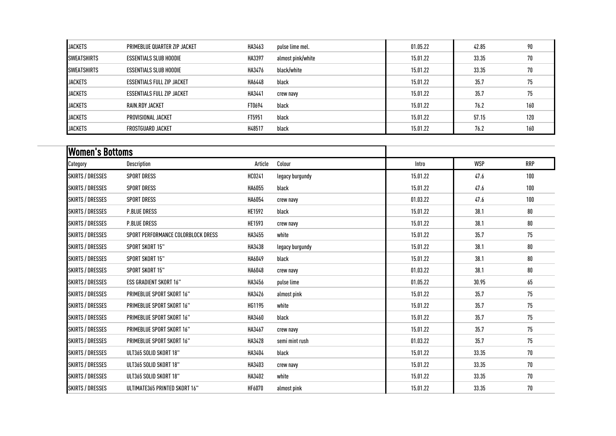| <b>JACKETS</b>     | PRIMEBLUE QUARTER ZIP JACKET | HA3463 | pulse lime mel.   | 01.05.22 | 42.85 | 90  |
|--------------------|------------------------------|--------|-------------------|----------|-------|-----|
| <b>SWEATSHIRTS</b> | ESSENTIALS SLUB HOODIE       | HA3397 | almost pink/white | 15.01.22 | 33.35 | 70  |
| <b>SWEATSHIRTS</b> | ESSENTIALS SLUB HOODIE       | HA3476 | black/white       | 15.01.22 | 33.35 | 70  |
| <b>JACKETS</b>     | ESSENTIALS FULL ZIP JACKET   | HA6448 | black             | 15.01.22 | 35.7  | 75  |
| <b>JACKETS</b>     | ESSENTIALS FULL ZIP JACKET   | HA3441 | crew navy         | 15.01.22 | 35.7  | 75  |
| <b>JACKETS</b>     | RAIN.RDY JACKET              | FT0694 | black             | 15.01.22 | 76.2  | 160 |
| <b>JACKETS</b>     | PROVISIONAL JACKET           | FT5951 | black             | 15.01.22 | 57.15 | 120 |
| <b>JACKETS</b>     | FROSTGUARD JACKET            | H48517 | black             | 15.01.22 | 76.2  | 160 |

| <b>Women's Bottoms</b>  |                                    |               |                 |          |            |            |
|-------------------------|------------------------------------|---------------|-----------------|----------|------------|------------|
| Category                | Description                        | Article       | Colour          | Intro    | <b>WSP</b> | <b>RRP</b> |
| <b>SKIRTS / DRESSES</b> | <b>SPORT DRESS</b>                 | HC0241        | legacy burgundy | 15.01.22 | 47.6       | 100        |
| <b>SKIRTS / DRESSES</b> | <b>SPORT DRESS</b>                 | HA6055        | black           | 15.01.22 | 47.6       | 100        |
| <b>SKIRTS / DRESSES</b> | <b>SPORT DRESS</b>                 | HA6054        | crew navy       | 01.03.22 | 47.6       | 100        |
| <b>SKIRTS / DRESSES</b> | <b>P.BLUE DRESS</b>                | <b>HE1592</b> | black           | 15.01.22 | 38.1       | 80         |
| <b>SKIRTS / DRESSES</b> | <b>P.BLUE DRESS</b>                | HE1593        | crew navy       | 15.01.22 | 38.1       | 80         |
| <b>SKIRTS / DRESSES</b> | SPORT PERFORMANCE COLORBLOCK DRESS | HA3455        | white           | 15.01.22 | 35.7       | 75         |
| <b>SKIRTS / DRESSES</b> | SPORT SKORT 15"                    | HA3438        | legacy burgundy | 15.01.22 | 38.1       | 80         |
| <b>SKIRTS / DRESSES</b> | <b>SPORT SKORT 15"</b>             | HA6049        | black           | 15.01.22 | 38.1       | 80         |
| <b>SKIRTS / DRESSES</b> | <b>SPORT SKORT 15"</b>             | HA6048        | crew navy       | 01.03.22 | 38.1       | $80\,$     |
| <b>SKIRTS / DRESSES</b> | <b>ESS GRADIENT SKORT 16"</b>      | HA3456        | pulse lime      | 01.05.22 | 30.95      | 65         |
| <b>SKIRTS / DRESSES</b> | PRIMEBLUE SPORT SKORT 16"          | HA3426        | almost pink     | 15.01.22 | 35.7       | 75         |
| <b>SKIRTS / DRESSES</b> | PRIMEBLUE SPORT SKORT 16"          | HG1195        | white           | 15.01.22 | 35.7       | 75         |
| <b>SKIRTS / DRESSES</b> | PRIMEBLUE SPORT SKORT 16"          | HA3460        | black           | 15.01.22 | 35.7       | 75         |
| <b>SKIRTS / DRESSES</b> | PRIMEBLUE SPORT SKORT 16"          | HA3467        | crew navy       | 15.01.22 | 35.7       | 75         |
| <b>SKIRTS / DRESSES</b> | PRIMEBLUE SPORT SKORT 16"          | HA3428        | semi mint rush  | 01.03.22 | 35.7       | 75         |
| <b>SKIRTS / DRESSES</b> | ULT365 SOLID SKORT 18"             | HA3404        | black           | 15.01.22 | 33.35      | 70         |
| <b>SKIRTS / DRESSES</b> | ULT365 SOLID SKORT 18"             | HA3403        | crew navy       | 15.01.22 | 33.35      | 70         |
| <b>SKIRTS / DRESSES</b> | ULT365 SOLID SKORT 18"             | HA3402        | white           | 15.01.22 | 33.35      | 70         |
| SKIRTS / DRESSES        | ULTIMATE365 PRINTED SKORT 16"      | <b>HF6070</b> | almost pink     | 15.01.22 | 33.35      | 70         |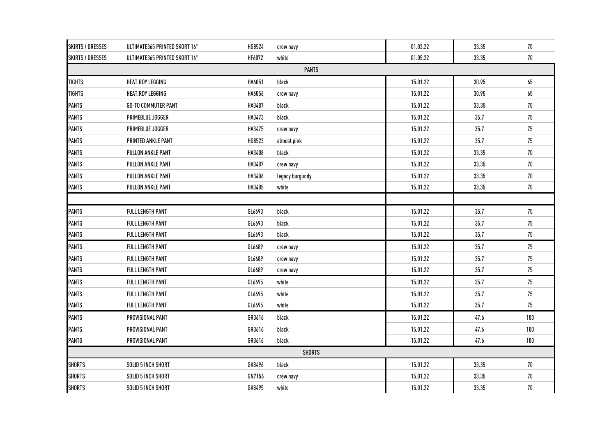| <b>SKIRTS / DRESSES</b> | ULTIMATE365 PRINTED SKORT 16" | HG8524 | crew navy       | 01.03.22 | 33.35 | 70     |
|-------------------------|-------------------------------|--------|-----------------|----------|-------|--------|
| SKIRTS / DRESSES        | ULTIMATE365 PRINTED SKORT 16" | HF6072 | white           | 01.05.22 | 33.35 | $70\,$ |
|                         |                               |        | <b>PANTS</b>    |          |       |        |
| <b>TIGHTS</b>           | HEAT.RDY LEGGING              | HA6051 | black           | 15.01.22 | 30.95 | 65     |
| <b>TIGHTS</b>           | HEAT.RDY LEGGING              | HA6056 | crew navy       | 15.01.22 | 30.95 | 65     |
| <b>PANTS</b>            | <b>GO-TO COMMUTER PANT</b>    | HA3487 | black           | 15.01.22 | 33.35 | $70\,$ |
| <b>PANTS</b>            | PRIMEBLUE JOGGER              | HA3473 | black           | 15.01.22 | 35.7  | 75     |
| <b>PANTS</b>            | PRIMEBLUE JOGGER              | HA3475 | crew navy       | 15.01.22 | 35.7  | 75     |
| <b>PANTS</b>            | PRINTED ANKLE PANT            | HG8523 | almost pink     | 15.01.22 | 35.7  | 75     |
| <b>PANTS</b>            | PULLON ANKLE PANT             | HA3408 | black           | 15.01.22 | 33.35 | 70     |
| <b>PANTS</b>            | PULLON ANKLE PANT             | HA3407 | crew navy       | 15.01.22 | 33.35 | 70     |
| <b>PANTS</b>            | PULLON ANKLE PANT             | HA3406 | legacy burgundy | 15.01.22 | 33.35 | $70\,$ |
| <b>PANTS</b>            | PULLON ANKLE PANT             | HA3405 | white           | 15.01.22 | 33.35 | $70\,$ |
|                         |                               |        |                 |          |       |        |
| <b>PANTS</b>            | FULL LENGTH PANT              | GL6693 | black           | 15.01.22 | 35.7  | 75     |
| <b>PANTS</b>            | FULL LENGTH PANT              | GL6693 | black           | 15.01.22 | 35.7  | 75     |
| <b>PANTS</b>            | FULL LENGTH PANT              | GL6693 | black           | 15.01.22 | 35.7  | 75     |
| <b>PANTS</b>            | FULL LENGTH PANT              | GL6689 | crew navy       | 15.01.22 | 35.7  | 75     |
| <b>PANTS</b>            | FULL LENGTH PANT              | GL6689 | crew navy       | 15.01.22 | 35.7  | 75     |
| <b>PANTS</b>            | FULL LENGTH PANT              | GL6689 | crew navy       | 15.01.22 | 35.7  | 75     |
| <b>PANTS</b>            | FULL LENGTH PANT              | GL6695 | white           | 15.01.22 | 35.7  | 75     |
| <b>PANTS</b>            | FULL LENGTH PANT              | GL6695 | white           | 15.01.22 | 35.7  | 75     |
| <b>PANTS</b>            | FULL LENGTH PANT              | GL6695 | white           | 15.01.22 | 35.7  | 75     |
| <b>PANTS</b>            | PROVISIONAL PANT              | GR3616 | black           | 15.01.22 | 47.6  | 100    |
| <b>PANTS</b>            | PROVISIONAL PANT              | GR3616 | black           | 15.01.22 | 47.6  | 100    |
| <b>PANTS</b>            | PROVISIONAL PANT              | GR3616 | black           | 15.01.22 | 47.6  | 100    |
|                         |                               |        | <b>SHORTS</b>   |          |       |        |
| <b>SHORTS</b>           | SOLID 5 INCH SHORT            | GK8496 | black           | 15.01.22 | 33.35 | $70\,$ |
| <b>SHORTS</b>           | SOLID 5 INCH SHORT            | GN7156 | crew navy       | 15.01.22 | 33.35 | 70     |
| <b>SHORTS</b>           | SOLID 5 INCH SHORT            | GK8495 | white           | 15.01.22 | 33.35 | 70     |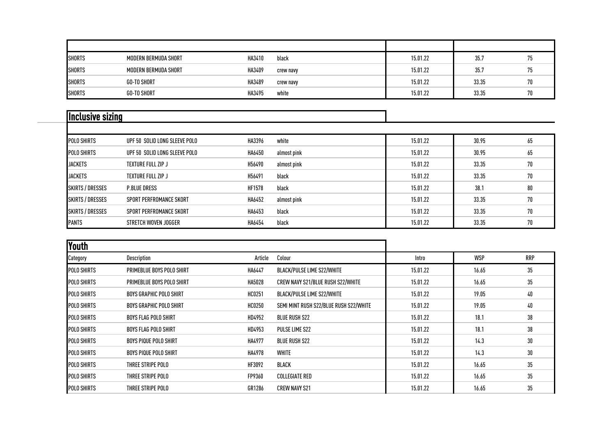| <b>SHORTS</b> | MODERN BERMUDA SHORT | HA3410 | black     | 15.01.22 | 35.   | ل / |
|---------------|----------------------|--------|-----------|----------|-------|-----|
| <b>SHORTS</b> | MODERN BERMUDA SHORT | HA3409 | crew navy | 15.01.22 | 35.   | ل / |
| <b>SHORTS</b> | <b>GO-TO SHORT</b>   | HA3489 | crew navy | 15.01.22 | 33.35 | 70  |
| <b>SHORTS</b> | <b>GO-TO SHORT</b>   | HA3495 | white     | 15.01.22 | 33.35 | 70  |

## Inclusive sizing

| POLO SHIRTS      | UPF 50 SOLID LONG SLEEVE POLO | HA3396        | white       | 15.01.22 | 30.95 | 65 |
|------------------|-------------------------------|---------------|-------------|----------|-------|----|
| POLO SHIRTS      | UPF 50 SOLID LONG SLEEVE POLO | HA6450        | almost pink | 15.01.22 | 30.95 | 65 |
| <b>JACKETS</b>   | TEXTURE FULL ZIP J            | H56490        | almost pink | 15.01.22 | 33.35 | 70 |
| <b>JACKETS</b>   | TEXTURE FULL ZIP J            | H56491        | black       | 15.01.22 | 33.35 | 70 |
| SKIRTS / DRESSES | <b>P.BLUE DRESS</b>           | <b>HF1578</b> | black       | 15.01.22 | 38.1  | 80 |
| SKIRTS / DRESSES | SPORT PERFROMANCE SKORT       | HA6452        | almost pink | 15.01.22 | 33.35 | 70 |
| SKIRTS / DRESSES | SPORT PERFROMANCE SKORT       | HA6453        | black       | 15.01.22 | 33.35 | 70 |
| PANTS            | STRETCH WOVEN JOGGER          | HA6454        | black       | 15.01.22 | 33.35 | 70 |

| Youth              |                                |         |                                        |          |            |            |
|--------------------|--------------------------------|---------|----------------------------------------|----------|------------|------------|
| Category           | Description                    | Article | Colour                                 | Intro    | <b>WSP</b> | <b>RRP</b> |
| <b>POLO SHIRTS</b> | PRIMEBLUE BOYS POLO SHIRT      | HA6447  | <b>BLACK/PULSE LIME S22/WHITE</b>      | 15.01.22 | 16.65      | 35         |
| <b>POLO SHIRTS</b> | PRIMEBLUE BOYS POLO SHIRT      | HA5028  | CREW NAVY S21/BLUE RUSH S22/WHITE      | 15.01.22 | 16.65      | 35         |
| <b>POLO SHIRTS</b> | BOYS GRAPHIC POLO SHIRT        | HC0251  | BLACK/PULSE LIME S22/WHITE             | 15.01.22 | 19.05      | 40         |
| <b>POLO SHIRTS</b> | <b>BOYS GRAPHIC POLO SHIRT</b> | HC0250  | SEMI MINT RUSH S22/BLUE RUSH S22/WHITE | 15.01.22 | 19.05      | 40         |
| <b>POLO SHIRTS</b> | <b>BOYS FLAG POLO SHIRT</b>    | HD4952  | <b>BLUE RUSH S22</b>                   | 15.01.22 | 18.1       | 38         |
| <b>POLO SHIRTS</b> | <b>BOYS FLAG POLO SHIRT</b>    | HD4953  | PULSE LIME S22                         | 15.01.22 | 18.1       | 38         |
| <b>POLO SHIRTS</b> | <b>BOYS PIQUE POLO SHIRT</b>   | HA4977  | <b>BLUE RUSH S22</b>                   | 15.01.22 | 14.3       | 30         |
| <b>POLO SHIRTS</b> | <b>BOYS PIQUE POLO SHIRT</b>   | HA4978  | WHITE                                  | 15.01.22 | 14.3       | 30         |
| <b>POLO SHIRTS</b> | THREE STRIPE POLO              | HF3092  | BLACK                                  | 15.01.22 | 16.65      | 35         |
| <b>POLO SHIRTS</b> | THREE STRIPE POLO              | FP9360  | <b>COLLEGIATE RED</b>                  | 15.01.22 | 16.65      | 35         |
| <b>POLO SHIRTS</b> | THREE STRIPE POLO              | GR1286  | <b>CREW NAVY S21</b>                   | 15.01.22 | 16.65      | 35         |